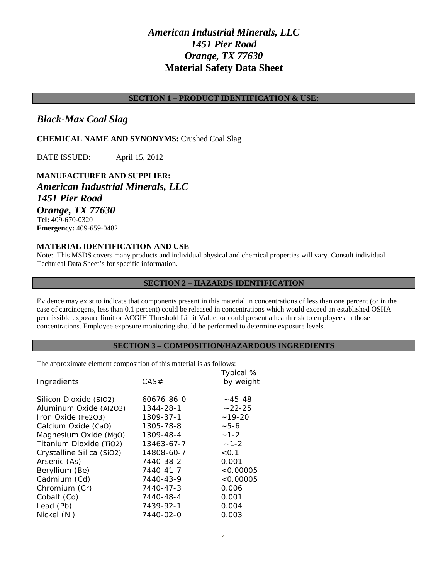# *American Industrial Minerals, LLC 1451 Pier Road Orange, TX 77630* **Material Safety Data Sheet**

# **SECTION 1 – PRODUCT IDENTIFICATION & USE:**

# *Black-Max Coal Slag*

# **CHEMICAL NAME AND SYNONYMS:** Crushed Coal Slag

DATE ISSUED: April 15, 2012

# **MANUFACTURER AND SUPPLIER:** *American Industrial Minerals, LLC 1451 Pier Road Orange, TX 77630* **Tel:** 409-670-0320 **Emergency:** 409-659-0482

# **MATERIAL IDENTIFICATION AND USE**

Note: This MSDS covers many products and individual physical and chemical properties will vary. Consult individual Technical Data Sheet's for specific information.

## **SECTION 2 – HAZARDS IDENTIFICATION**

Evidence may exist to indicate that components present in this material in concentrations of less than one percent (or in the case of carcinogens, less than 0.1 percent) could be released in concentrations which would exceed an established OSHA permissible exposure limit or ACGIH Threshold Limit Value, or could present a health risk to employees in those concentrations. Employee exposure monitoring should be performed to determine exposure levels.

# **SECTION 3 – COMPOSITION/HAZARDOUS INGREDIENTS**

The approximate element composition of this material is as follows:

|            | Typical %      |
|------------|----------------|
| CAS#       | by weight      |
|            |                |
| 60676-86-0 | $~1 - 45 - 48$ |
| 1344-28-1  | $~22 - 25$     |
| 1309-37-1  | $~19-20$       |
| 1305-78-8  | $-5-6$         |
| 1309-48-4  | $-1-2$         |
| 13463-67-7 | $-1-2$         |
| 14808-60-7 | < 0.1          |
| 7440-38-2  | 0.001          |
| 7440-41-7  | < 0.00005      |
| 7440-43-9  | < 0.00005      |
| 7440-47-3  | 0.006          |
| 7440-48-4  | 0.001          |
| 7439-92-1  | 0.004          |
| 7440-02-0  | 0.003          |
|            |                |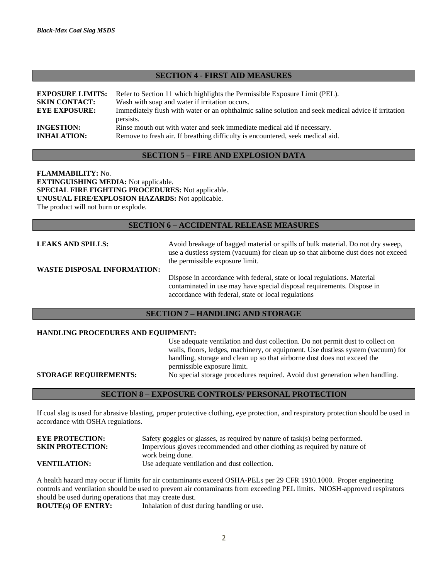#### **SECTION 4 - FIRST AID MEASURES**

| <b>EXPOSURE LIMITS:</b> | Refer to Section 11 which highlights the Permissible Exposure Limit (PEL).                                       |
|-------------------------|------------------------------------------------------------------------------------------------------------------|
| <b>SKIN CONTACT:</b>    | Wash with soap and water if irritation occurs.                                                                   |
| <b>EYE EXPOSURE:</b>    | Immediately flush with water or an ophthalmic saline solution and seek medical advice if irritation<br>persists. |
| <b>INGESTION:</b>       | Rinse mouth out with water and seek immediate medical aid if necessary.                                          |
| <b>INHALATION:</b>      | Remove to fresh air. If breathing difficulty is encountered, seek medical aid.                                   |

#### **SECTION 5 – FIRE AND EXPLOSION DATA**

**FLAMMABILITY:** No. **EXTINGUISHING MEDIA:** Not applicable. **SPECIAL FIRE FIGHTING PROCEDURES:** Not applicable. **UNUSUAL FIRE/EXPLOSION HAZARDS:** Not applicable. The product will not burn or explode.

#### **SECTION 6 – ACCIDENTAL RELEASE MEASURES**

**LEAKS AND SPILLS:** Avoid breakage of bagged material or spills of bulk material. Do not dry sweep, use a dustless system (vacuum) for clean up so that airborne dust does not exceed the permissible exposure limit. **WASTE DISPOSAL INFORMATION:** Dispose in accordance with federal, state or local regulations. Material contaminated in use may have special disposal requirements. Dispose in accordance with federal, state or local regulations

## **SECTION 7 – HANDLING AND STORAGE**

#### **HANDLING PROCEDURES AND EQUIPMENT:**

|                              | Use adequate ventilation and dust collection. Do not permit dust to collect on   |
|------------------------------|----------------------------------------------------------------------------------|
|                              | walls, floors, ledges, machinery, or equipment. Use dustless system (vacuum) for |
|                              | handling, storage and clean up so that airborne dust does not exceed the         |
|                              | permissible exposure limit.                                                      |
| <b>STORAGE REQUIREMENTS:</b> | No special storage procedures required. Avoid dust generation when handling.     |
|                              |                                                                                  |

#### **SECTION 8 – EXPOSURE CONTROLS/ PERSONAL PROTECTION**

If coal slag is used for abrasive blasting, proper protective clothing, eye protection, and respiratory protection should be used in accordance with OSHA regulations.

| <b>EYE PROTECTION:</b>  | Safety goggles or glasses, as required by nature of task(s) being performed. |
|-------------------------|------------------------------------------------------------------------------|
| <b>SKIN PROTECTION:</b> | Impervious gloves recommended and other clothing as required by nature of    |
|                         | work being done.                                                             |
| <b>VENTILATION:</b>     | Use adequate ventilation and dust collection.                                |
|                         |                                                                              |

A health hazard may occur if limits for air contaminants exceed OSHA-PELs per 29 CFR 1910.1000. Proper engineering controls and ventilation should be used to prevent air contaminants from exceeding PEL limits. NIOSH-approved respirators should be used during operations that may create dust.

**ROUTE(s) OF ENTRY:** Inhalation of dust during handling or use.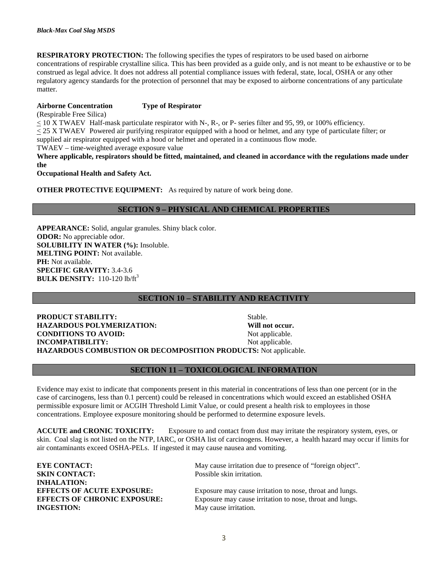**RESPIRATORY PROTECTION:** The following specifies the types of respirators to be used based on airborne concentrations of respirable crystalline silica. This has been provided as a guide only, and is not meant to be exhaustive or to be construed as legal advice. It does not address all potential compliance issues with federal, state, local, OSHA or any other regulatory agency standards for the protection of personnel that may be exposed to airborne concentrations of any particulate matter.

#### **Airborne Concentration Type of Respirator**

(Respirable Free Silica)

 $<$  10 X TWAEV Half-mask particulate respirator with N-, R-, or P- series filter and 95, 99, or 100% efficiency.

< 25 X TWAEV Powered air purifying respirator equipped with a hood or helmet, and any type of particulate filter; or

supplied air respirator equipped with a hood or helmet and operated in a continuous flow mode.

TWAEV – time-weighted average exposure value

**Where applicable, respirators should be fitted, maintained, and cleaned in accordance with the regulations made under the**

**Occupational Health and Safety Act.**

**OTHER PROTECTIVE EQUIPMENT:** As required by nature of work being done.

# **SECTION 9 – PHYSICAL AND CHEMICAL PROPERTIES**

**APPEARANCE:** Solid, angular granules. Shiny black color. **ODOR:** No appreciable odor. **SOLUBILITY IN WATER (%):** Insoluble. **MELTING POINT:** Not available. PH: Not available. **SPECIFIC GRAVITY:** 3.4-3.6 **BULK DENSITY:** 110-120 lb/ft<sup>3</sup>

### **SECTION 10 – STABILITY AND REACTIVITY**

**PRODUCT STABILITY:** Stable. **HAZARDOUS POLYMERIZATION: Will not occur. CONDITIONS TO AVOID:** Not applicable. **INCOMPATIBILITY:** Not applicable. **HAZARDOUS COMBUSTION OR DECOMPOSITION PRODUCTS:** Not applicable.

### **SECTION 11 – TOXICOLOGICAL INFORMATION**

Evidence may exist to indicate that components present in this material in concentrations of less than one percent (or in the case of carcinogens, less than 0.1 percent) could be released in concentrations which would exceed an established OSHA permissible exposure limit or ACGIH Threshold Limit Value, or could present a health risk to employees in those concentrations. Employee exposure monitoring should be performed to determine exposure levels.

**ACCUTE and CRONIC TOXICITY:** Exposure to and contact from dust may irritate the respiratory system, eyes, or skin. Coal slag is not listed on the NTP, IARC, or OSHA list of carcinogens. However, a health hazard may occur if limits for air contaminants exceed OSHA-PELs. If ingested it may cause nausea and vomiting.

| <b>EYE CONTACT:</b>                                                                                                 | May cause irritation due to presence of "foreign object".                                                                                     |
|---------------------------------------------------------------------------------------------------------------------|-----------------------------------------------------------------------------------------------------------------------------------------------|
| <b>SKIN CONTACT:</b>                                                                                                | Possible skin irritation.                                                                                                                     |
| <b>INHALATION:</b><br><b>EFFECTS OF ACUTE EXPOSURE:</b><br><b>EFFECTS OF CHRONIC EXPOSURE:</b><br><b>INGESTION:</b> | Exposure may cause irritation to nose, throat and lungs.<br>Exposure may cause irritation to nose, throat and lungs.<br>May cause irritation. |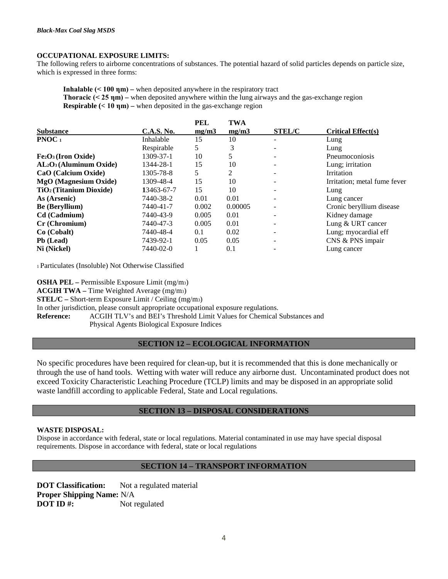#### **OCCUPATIONAL EXPOSURE LIMITS:**

The following refers to airborne concentrations of substances. The potential hazard of solid particles depends on particle size, which is expressed in three forms:

**Inhalable (< 100 ηm) –** when deposited anywhere in the respiratory tract **Thoracic (< 25 nm) –** when deposited anywhere within the lung airways and the gas-exchange region **Respirable**  $(< 10 \text{ nm})$  **– when deposited in the gas-exchange region** 

|                                     |                   | <b>PEL</b> | <b>TWA</b> |                          |                              |
|-------------------------------------|-------------------|------------|------------|--------------------------|------------------------------|
| <b>Substance</b>                    | <b>C.A.S. No.</b> | mg/m3      | mg/m3      | <b>STEL/C</b>            | <b>Critical Effect(s)</b>    |
| <b>PNOC</b> <sub>1</sub>            | Inhalable         | 15         | 10         | -                        | Lung                         |
|                                     | Respirable        | 5          | 3          |                          | Lung                         |
| $Fe2O3$ (Iron Oxide)                | 1309-37-1         | 10         |            |                          | Pneumoconiosis               |
| $AL_2O_3$ (Aluminum Oxide)          | 1344-28-1         | 15         | 10         | $\overline{\phantom{a}}$ | Lung; irritation             |
| CaO (Calcium Oxide)                 | 1305-78-8         | 5          | 2          |                          | Irritation                   |
| <b>MgO</b> (Magnesium Oxide)        | 1309-48-4         | 15         | 10         | $\overline{\phantom{a}}$ | Irritation; metal fume fever |
| TiO <sub>2</sub> (Titanium Dioxide) | 13463-67-7        | 15         | 10         | $\overline{\phantom{a}}$ | Lung                         |
| As (Arsenic)                        | 7440-38-2         | 0.01       | 0.01       | $\overline{\phantom{a}}$ | Lung cancer                  |
| <b>Be (Beryllium)</b>               | 7440-41-7         | 0.002      | 0.00005    | -                        | Cronic beryllium disease     |
| Cd (Cadmium)                        | 7440-43-9         | 0.005      | 0.01       | $\overline{\phantom{a}}$ | Kidney damage                |
| Cr (Chromium)                       | 7440-47-3         | 0.005      | 0.01       | $\overline{\phantom{0}}$ | Lung & URT cancer            |
| $Co$ (Cobalt)                       | 7440-48-4         | 0.1        | 0.02       | -                        | Lung; myocardial eff         |
| Pb (Lead)                           | 7439-92-1         | 0.05       | 0.05       |                          | CNS & PNS impair             |
| Ni (Nickel)                         | 7440-02-0         |            | 0.1        |                          | Lung cancer                  |

1 Particulates (Insoluble) Not Otherwise Classified

**OSHA PEL –** Permissible Exposure Limit (mg/m3)

**ACGIH TWA –** Time Weighted Average (mg/m3)

**STEL/C –** Short-term Exposure Limit / Ceiling (mg/m3)

In other jurisdiction, please consult appropriate occupational exposure regulations.

**Reference:** ACGIH TLV's and BEI's Threshold Limit Values for Chemical Substances and Physical Agents Biological Exposure Indices

### **SECTION 12 – ECOLOGICAL INFORMATION**

No specific procedures have been required for clean-up, but it is recommended that this is done mechanically or through the use of hand tools. Wetting with water will reduce any airborne dust. Uncontaminated product does not exceed Toxicity Characteristic Leaching Procedure (TCLP) limits and may be disposed in an appropriate solid waste landfill according to applicable Federal, State and Local regulations.

## **SECTION 13 – DISPOSAL CONSIDERATIONS**

#### **WASTE DISPOSAL:**

Dispose in accordance with federal, state or local regulations. Material contaminated in use may have special disposal requirements. Dispose in accordance with federal, state or local regulations

## **SECTION 14 – TRANSPORT INFORMATION**

**DOT Classification:** Not a regulated material **Proper Shipping Name:** N/A **DOT ID #:** Not regulated